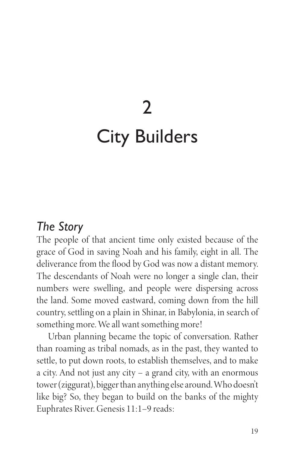# 2 City Builders

#### *The Story*

The people of that ancient time only existed because of the grace of God in saving Noah and his family, eight in all. The deliverance from the flood by God was now a distant memory. The descendants of Noah were no longer a single clan, their numbers were swelling, and people were dispersing across the land. Some moved eastward, coming down from the hill country, settling on a plain in Shinar, in Babylonia, in search of something more. We all want something more!

Urban planning became the topic of conversation. Rather than roaming as tribal nomads, as in the past, they wanted to settle, to put down roots, to establish themselves, and to make a city. And not just any city – a grand city, with an enormous tower (ziggurat), bigger than anything else around. Who doesn't like big? So, they began to build on the banks of the mighty Euphrates River. Genesis 11:1–9 reads: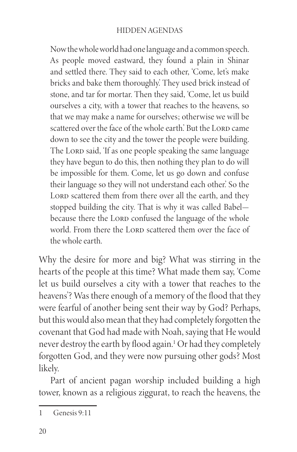#### HIDDEN AGENDAS

Now the whole world had one language and a common speech. As people moved eastward, they found a plain in Shinar and settled there. They said to each other, 'Come, let's make bricks and bake them thoroughly.' They used brick instead of stone, and tar for mortar. Then they said, 'Come, let us build ourselves a city, with a tower that reaches to the heavens, so that we may make a name for ourselves; otherwise we will be scattered over the face of the whole earth.' But the LORD came down to see the city and the tower the people were building. The Lord said, 'If as one people speaking the same language they have begun to do this, then nothing they plan to do will be impossible for them. Come, let us go down and confuse their language so they will not understand each other.' So the LORD scattered them from there over all the earth, and they stopped building the city. That is why it was called Babel because there the LORD confused the language of the whole world. From there the LORD scattered them over the face of the whole earth.

Why the desire for more and big? What was stirring in the hearts of the people at this time? What made them say, 'Come let us build ourselves a city with a tower that reaches to the heavens'? Was there enough of a memory of the flood that they were fearful of another being sent their way by God? Perhaps, but this would also mean that they had completely forgotten the covenant that God had made with Noah, saying that He would never destroy the earth by flood again.<sup>1</sup> Or had they completely forgotten God, and they were now pursuing other gods? Most likely.

Part of ancient pagan worship included building a high tower, known as a religious ziggurat, to reach the heavens, the

<sup>1</sup> Genesis 9:11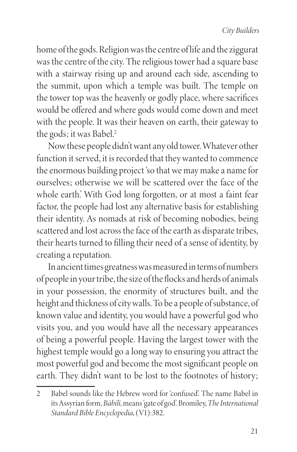home of the gods. Religion was the centre of life and the ziggurat was the centre of the city. The religious tower had a square base with a stairway rising up and around each side, ascending to the summit, upon which a temple was built. The temple on the tower top was the heavenly or godly place, where sacrifices would be offered and where gods would come down and meet with the people. It was their heaven on earth, their gateway to the gods; it was Babel.<sup>2</sup>

Now these people didn't want any old tower. Whatever other function it served, it is recorded that they wanted to commence the enormous building project 'so that we may make a name for ourselves; otherwise we will be scattered over the face of the whole earth.' With God long forgotten, or at most a faint fear factor, the people had lost any alternative basis for establishing their identity. As nomads at risk of becoming nobodies, being scattered and lost across the face of the earth as disparate tribes, their hearts turned to filling their need of a sense of identity, by creating a reputation.

In ancient times greatness was measured in terms of numbers of people in your tribe, the size of the flocks and herds of animals in your possession, the enormity of structures built, and the height and thickness of city walls. To be a people of substance, of known value and identity, you would have a powerful god who visits you, and you would have all the necessary appearances of being a powerful people. Having the largest tower with the highest temple would go a long way to ensuring you attract the most powerful god and become the most significant people on earth. They didn't want to be lost to the footnotes of history;

<sup>2</sup> Babel sounds like the Hebrew word for 'confused'. The name Babel in its Assyrian form, *Bābilī*, means 'gate of god'. Bromiley, *The International Standard Bible Encyclopedia*, (V1):382.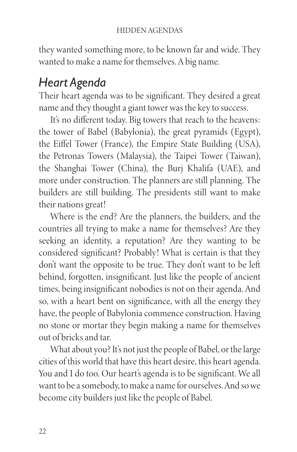they wanted something more, to be known far and wide. They wanted to make a name for themselves. A big name.

# *Heart Agenda*

Their heart agenda was to be significant. They desired a great name and they thought a giant tower was the key to success.

It's no different today. Big towers that reach to the heavens: the tower of Babel (Babylonia), the great pyramids (Egypt), the Eiffel Tower (France), the Empire State Building (USA), the Petronas Towers (Malaysia), the Taipei Tower (Taiwan), the Shanghai Tower (China), the Burj Khalifa (UAE), and more under construction. The planners are still planning. The builders are still building. The presidents still want to make their nations great!

Where is the end? Are the planners, the builders, and the countries all trying to make a name for themselves? Are they seeking an identity, a reputation? Are they wanting to be considered significant? Probably! What is certain is that they don't want the opposite to be true. They don't want to be left behind, forgotten, insignificant. Just like the people of ancient times, being insignificant nobodies is not on their agenda. And so, with a heart bent on significance, with all the energy they have, the people of Babylonia commence construction. Having no stone or mortar they begin making a name for themselves out of bricks and tar.

What about you? It's not just the people of Babel, or the large cities of this world that have this heart desire, this heart agenda. You and I do too. Our heart's agenda is to be significant. We all want to be a somebody, to make a name for ourselves. And so we become city builders just like the people of Babel.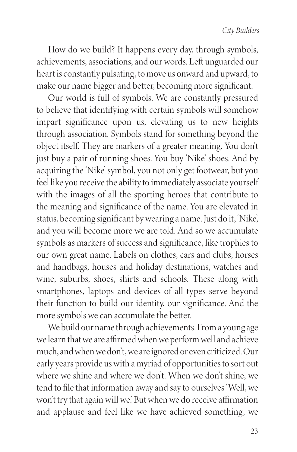How do we build? It happens every day, through symbols, achievements, associations, and our words. Left unguarded our heart is constantly pulsating, to move us onward and upward, to make our name bigger and better, becoming more significant.

Our world is full of symbols. We are constantly pressured to believe that identifying with certain symbols will somehow impart significance upon us, elevating us to new heights through association. Symbols stand for something beyond the object itself. They are markers of a greater meaning. You don't just buy a pair of running shoes. You buy 'Nike' shoes. And by acquiring the 'Nike' symbol, you not only get footwear, but you feel like you receive the ability to immediately associate yourself with the images of all the sporting heroes that contribute to the meaning and significance of the name. You are elevated in status, becoming significant by wearing a name. Just do it, 'Nike', and you will become more we are told. And so we accumulate symbols as markers of success and significance, like trophies to our own great name. Labels on clothes, cars and clubs, horses and handbags, houses and holiday destinations, watches and wine, suburbs, shoes, shirts and schools. These along with smartphones, laptops and devices of all types serve beyond their function to build our identity, our significance. And the more symbols we can accumulate the better.

We build our name through achievements. From a young age we learn that we are affirmed when we perform well and achieve much, and when we don't, we are ignored or even criticized. Our early years provide us with a myriad of opportunities to sort out where we shine and where we don't. When we don't shine, we tend to file that information away and say to ourselves 'Well, we won't try that again will we.' But when we do receive affirmation and applause and feel like we have achieved something, we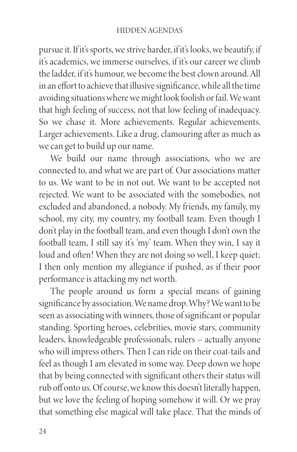pursue it. If it's sports, we strive harder, if it's looks, we beautify, if it's academics, we immerse ourselves, if it's our career we climb the ladder, if it's humour, we become the best clown around. All in an effort to achieve that illusive significance, while all the time avoiding situations where we might look foolish or fail. We want that high feeling of success, not that low feeling of inadequacy. So we chase it. More achievements. Regular achievements. Larger achievements. Like a drug, clamouring after as much as we can get to build up our name.

We build our name through associations, who we are connected to, and what we are part of. Our associations matter to us. We want to be in not out. We want to be accepted not rejected. We want to be associated with the somebodies, not excluded and abandoned, a nobody. My friends, my family, my school, my city, my country, my football team. Even though I don't play in the football team, and even though I don't own the football team, I still say it's 'my' team. When they win, I say it loud and often! When they are not doing so well, I keep quiet; I then only mention my allegiance if pushed, as if their poor performance is attacking my net worth.

The people around us form a special means of gaining significance by association. We name drop. Why? We want to be seen as associating with winners, those of significant or popular standing. Sporting heroes, celebrities, movie stars, community leaders, knowledgeable professionals, rulers – actually anyone who will impress others. Then I can ride on their coat-tails and feel as though I am elevated in some way. Deep down we hope that by being connected with significant others their status will rub off onto us. Of course, we know this doesn't literally happen, but we love the feeling of hoping somehow it will. Or we pray that something else magical will take place. That the minds of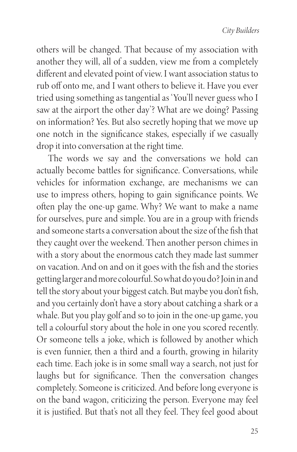others will be changed. That because of my association with another they will, all of a sudden, view me from a completely different and elevated point of view. I want association status to rub off onto me, and I want others to believe it. Have you ever tried using something as tangential as 'You'll never guess who I saw at the airport the other day'? What are we doing? Passing on information? Yes. But also secretly hoping that we move up one notch in the significance stakes, especially if we casually drop it into conversation at the right time.

The words we say and the conversations we hold can actually become battles for significance. Conversations, while vehicles for information exchange, are mechanisms we can use to impress others, hoping to gain significance points. We often play the one-up game. Why? We want to make a name for ourselves, pure and simple. You are in a group with friends and someone starts a conversation about the size of the fish that they caught over the weekend. Then another person chimes in with a story about the enormous catch they made last summer on vacation. And on and on it goes with the fish and the stories getting larger and more colourful. So what do you do? Join in and tell the story about your biggest catch. But maybe you don't fish, and you certainly don't have a story about catching a shark or a whale. But you play golf and so to join in the one-up game, you tell a colourful story about the hole in one you scored recently. Or someone tells a joke, which is followed by another which is even funnier, then a third and a fourth, growing in hilarity each time. Each joke is in some small way a search, not just for laughs but for significance. Then the conversation changes completely. Someone is criticized. And before long everyone is on the band wagon, criticizing the person. Everyone may feel it is justified. But that's not all they feel. They feel good about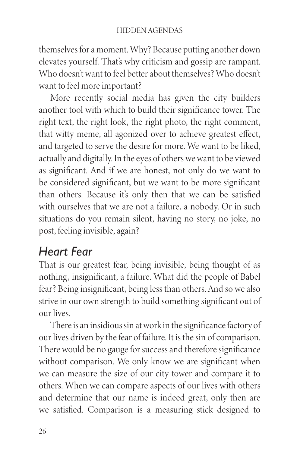themselves for a moment. Why? Because putting another down elevates yourself. That's why criticism and gossip are rampant. Who doesn't want to feel better about themselves? Who doesn't want to feel more important?

More recently social media has given the city builders another tool with which to build their significance tower. The right text, the right look, the right photo, the right comment, that witty meme, all agonized over to achieve greatest effect, and targeted to serve the desire for more. We want to be liked, actually and digitally. In the eyes of others we want to be viewed as significant. And if we are honest, not only do we want to be considered significant, but we want to be more significant than others. Because it's only then that we can be satisfied with ourselves that we are not a failure, a nobody. Or in such situations do you remain silent, having no story, no joke, no post, feeling invisible, again?

# *Heart Fear*

That is our greatest fear, being invisible, being thought of as nothing, insignificant, a failure. What did the people of Babel fear? Being insignificant, being less than others. And so we also strive in our own strength to build something significant out of our lives.

There is an insidious sin at work in the significance factory of our lives driven by the fear of failure. It is the sin of comparison. There would be no gauge for success and therefore significance without comparison. We only know we are significant when we can measure the size of our city tower and compare it to others. When we can compare aspects of our lives with others and determine that our name is indeed great, only then are we satisfied. Comparison is a measuring stick designed to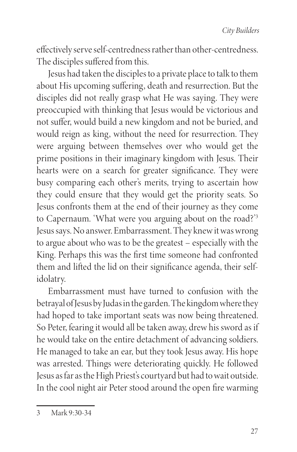effectively serve self-centredness rather than other-centredness. The disciples suffered from this.

Jesus had taken the disciples to a private place to talk to them about His upcoming suffering, death and resurrection. But the disciples did not really grasp what He was saying. They were preoccupied with thinking that Jesus would be victorious and not suffer, would build a new kingdom and not be buried, and would reign as king, without the need for resurrection. They were arguing between themselves over who would get the prime positions in their imaginary kingdom with Jesus. Their hearts were on a search for greater significance. They were busy comparing each other's merits, trying to ascertain how they could ensure that they would get the priority seats. So Jesus confronts them at the end of their journey as they come to Capernaum. 'What were you arguing about on the road?'3 Jesus says. No answer. Embarrassment. They knew it was wrong to argue about who was to be the greatest – especially with the King. Perhaps this was the first time someone had confronted them and lifted the lid on their significance agenda, their selfidolatry.

Embarrassment must have turned to confusion with the betrayal of Jesus by Judas in the garden. The kingdom where they had hoped to take important seats was now being threatened. So Peter, fearing it would all be taken away, drew his sword as if he would take on the entire detachment of advancing soldiers. He managed to take an ear, but they took Jesus away. His hope was arrested. Things were deteriorating quickly. He followed Jesus as far as the High Priest's courtyard but had to wait outside. In the cool night air Peter stood around the open fire warming

<sup>3</sup> Mark 9:30-34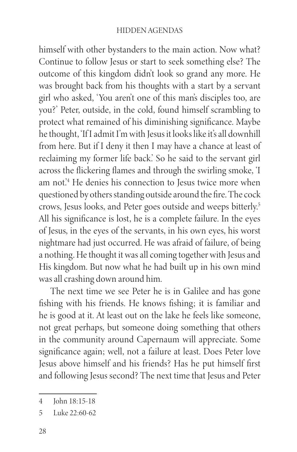himself with other bystanders to the main action. Now what? Continue to follow Jesus or start to seek something else? The outcome of this kingdom didn't look so grand any more. He was brought back from his thoughts with a start by a servant girl who asked, 'You aren't one of this man's disciples too, are you?' Peter, outside, in the cold, found himself scrambling to protect what remained of his diminishing significance. Maybe he thought, 'If I admit I'm with Jesus it looks like it's all downhill from here. But if I deny it then I may have a chance at least of reclaiming my former life back.' So he said to the servant girl across the flickering flames and through the swirling smoke, 'I am not.'4 He denies his connection to Jesus twice more when questioned by others standing outside around the fire. The cock crows, Jesus looks, and Peter goes outside and weeps bitterly.5 All his significance is lost, he is a complete failure. In the eyes of Jesus, in the eyes of the servants, in his own eyes, his worst nightmare had just occurred. He was afraid of failure, of being a nothing. He thought it was all coming together with Jesus and His kingdom. But now what he had built up in his own mind was all crashing down around him.

The next time we see Peter he is in Galilee and has gone fishing with his friends. He knows fishing; it is familiar and he is good at it. At least out on the lake he feels like someone, not great perhaps, but someone doing something that others in the community around Capernaum will appreciate. Some significance again; well, not a failure at least. Does Peter love Jesus above himself and his friends? Has he put himself first and following Jesus second? The next time that Jesus and Peter

<sup>4</sup> John 18:15-18

<sup>5</sup> Luke 22:60-62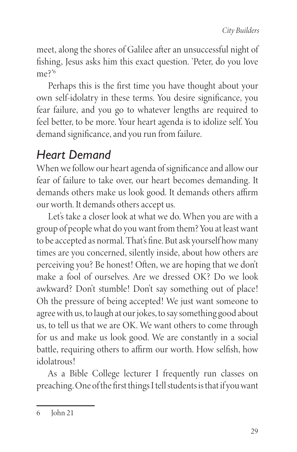meet, along the shores of Galilee after an unsuccessful night of fishing, Jesus asks him this exact question. 'Peter, do you love  $me^{2^{n}(\theta)}$ 

Perhaps this is the first time you have thought about your own self-idolatry in these terms. You desire significance, you fear failure, and you go to whatever lengths are required to feel better, to be more. Your heart agenda is to idolize self. You demand significance, and you run from failure.

# *Heart Demand*

When we follow our heart agenda of significance and allow our fear of failure to take over, our heart becomes demanding. It demands others make us look good. It demands others affirm our worth. It demands others accept us.

Let's take a closer look at what we do. When you are with a group of people what do you want from them? You at least want to be accepted as normal. That's fine. But ask yourself how many times are you concerned, silently inside, about how others are perceiving you? Be honest! Often, we are hoping that we don't make a fool of ourselves. Are we dressed OK? Do we look awkward? Don't stumble! Don't say something out of place! Oh the pressure of being accepted! We just want someone to agree with us, to laugh at our jokes, to say something good about us, to tell us that we are OK. We want others to come through for us and make us look good. We are constantly in a social battle, requiring others to affirm our worth. How selfish, how idolatrous!

As a Bible College lecturer I frequently run classes on preaching. One of the first things I tell students is that if you want

<sup>6</sup> John 21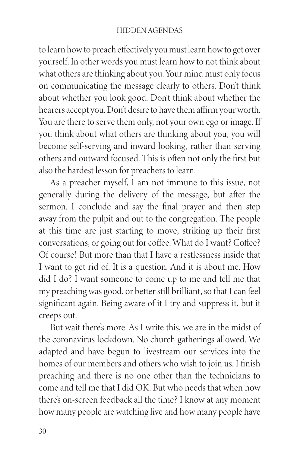to learn how to preach effectively you must learn how to get over yourself. In other words you must learn how to not think about what others are thinking about you. Your mind must only focus on communicating the message clearly to others. Don't think about whether you look good. Don't think about whether the hearers accept you. Don't desire to have them affirm your worth. You are there to serve them only, not your own ego or image. If you think about what others are thinking about you, you will become self-serving and inward looking, rather than serving others and outward focused. This is often not only the first but also the hardest lesson for preachers to learn.

As a preacher myself, I am not immune to this issue, not generally during the delivery of the message, but after the sermon. I conclude and say the final prayer and then step away from the pulpit and out to the congregation. The people at this time are just starting to move, striking up their first conversations, or going out for coffee. What do I want? Coffee? Of course! But more than that I have a restlessness inside that I want to get rid of. It is a question. And it is about me. How did I do? I want someone to come up to me and tell me that my preaching was good, or better still brilliant, so that I can feel significant again. Being aware of it I try and suppress it, but it creeps out.

But wait there's more. As I write this, we are in the midst of the coronavirus lockdown. No church gatherings allowed. We adapted and have begun to livestream our services into the homes of our members and others who wish to join us. I finish preaching and there is no one other than the technicians to come and tell me that I did OK. But who needs that when now there's on-screen feedback all the time? I know at any moment how many people are watching live and how many people have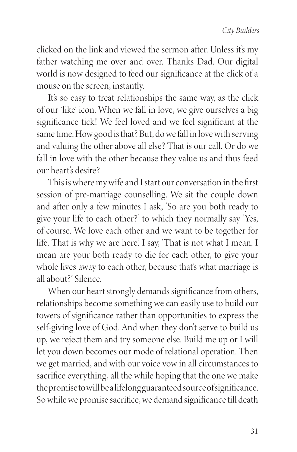clicked on the link and viewed the sermon after. Unless it's my father watching me over and over. Thanks Dad. Our digital world is now designed to feed our significance at the click of a mouse on the screen, instantly.

It's so easy to treat relationships the same way, as the click of our 'like' icon. When we fall in love, we give ourselves a big significance tick! We feel loved and we feel significant at the same time. How good is that? But, do we fall in love with serving and valuing the other above all else? That is our call. Or do we fall in love with the other because they value us and thus feed our heart's desire?

This is where my wife and I start our conversation in the first session of pre-marriage counselling. We sit the couple down and after only a few minutes I ask, 'So are you both ready to give your life to each other?' to which they normally say 'Yes, of course. We love each other and we want to be together for life. That is why we are here.' I say, 'That is not what I mean. I mean are your both ready to die for each other, to give your whole lives away to each other, because that's what marriage is all about?' Silence.

When our heart strongly demands significance from others, relationships become something we can easily use to build our towers of significance rather than opportunities to express the self-giving love of God. And when they don't serve to build us up, we reject them and try someone else. Build me up or I will let you down becomes our mode of relational operation. Then we get married, and with our voice vow in all circumstances to sacrifice everything, all the while hoping that the one we make the promise to will be a lifelong guaranteed source of significance. So while we promise sacrifice, we demand significance till death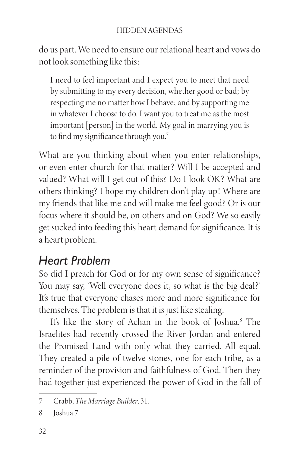do us part. We need to ensure our relational heart and vows do not look something like this:

I need to feel important and I expect you to meet that need by submitting to my every decision, whether good or bad; by respecting me no matter how I behave; and by supporting me in whatever I choose to do. I want you to treat me as the most important [person] in the world. My goal in marrying you is to find my significance through you.<sup>7</sup>

What are you thinking about when you enter relationships, or even enter church for that matter? Will I be accepted and valued? What will I get out of this? Do I look OK? What are others thinking? I hope my children don't play up! Where are my friends that like me and will make me feel good? Or is our focus where it should be, on others and on God? We so easily get sucked into feeding this heart demand for significance. It is a heart problem.

### *Heart Problem*

So did I preach for God or for my own sense of significance? You may say, 'Well everyone does it, so what is the big deal?' It's true that everyone chases more and more significance for themselves. The problem is that it is just like stealing.

It's like the story of Achan in the book of Joshua.8 The Israelites had recently crossed the River Jordan and entered the Promised Land with only what they carried. All equal. They created a pile of twelve stones, one for each tribe, as a reminder of the provision and faithfulness of God. Then they had together just experienced the power of God in the fall of

<sup>7</sup> Crabb, *The Marriage Builder*, 31.

<sup>8</sup> Joshua 7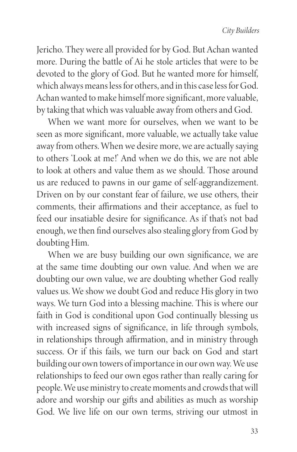Jericho. They were all provided for by God. But Achan wanted more. During the battle of Ai he stole articles that were to be devoted to the glory of God. But he wanted more for himself, which always means less for others, and in this case less for God. Achan wanted to make himself more significant, more valuable, by taking that which was valuable away from others and God.

When we want more for ourselves, when we want to be seen as more significant, more valuable, we actually take value away from others. When we desire more, we are actually saying to others 'Look at me!' And when we do this, we are not able to look at others and value them as we should. Those around us are reduced to pawns in our game of self-aggrandizement. Driven on by our constant fear of failure, we use others, their comments, their affirmations and their acceptance, as fuel to feed our insatiable desire for significance. As if that's not bad enough, we then find ourselves also stealing glory from God by doubting Him.

When we are busy building our own significance, we are at the same time doubting our own value. And when we are doubting our own value, we are doubting whether God really values us. We show we doubt God and reduce His glory in two ways. We turn God into a blessing machine. This is where our faith in God is conditional upon God continually blessing us with increased signs of significance, in life through symbols, in relationships through affirmation, and in ministry through success. Or if this fails, we turn our back on God and start building our own towers of importance in our own way. We use relationships to feed our own egos rather than really caring for people. We use ministry to create moments and crowds that will adore and worship our gifts and abilities as much as worship God. We live life on our own terms, striving our utmost in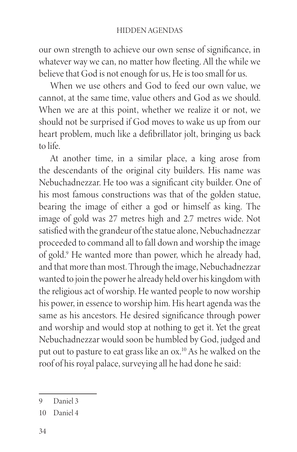our own strength to achieve our own sense of significance, in whatever way we can, no matter how fleeting. All the while we believe that God is not enough for us, He is too small for us.

When we use others and God to feed our own value, we cannot, at the same time, value others and God as we should. When we are at this point, whether we realize it or not, we should not be surprised if God moves to wake us up from our heart problem, much like a defibrillator jolt, bringing us back to life.

At another time, in a similar place, a king arose from the descendants of the original city builders. His name was Nebuchadnezzar. He too was a significant city builder. One of his most famous constructions was that of the golden statue, bearing the image of either a god or himself as king. The image of gold was 27 metres high and 2.7 metres wide. Not satisfied with the grandeur of the statue alone, Nebuchadnezzar proceeded to command all to fall down and worship the image of gold.9 He wanted more than power, which he already had, and that more than most. Through the image, Nebuchadnezzar wanted to join the power he already held over his kingdom with the religious act of worship. He wanted people to now worship his power, in essence to worship him. His heart agenda was the same as his ancestors. He desired significance through power and worship and would stop at nothing to get it. Yet the great Nebuchadnezzar would soon be humbled by God, judged and put out to pasture to eat grass like an ox.10 As he walked on the roof of his royal palace, surveying all he had done he said:

<sup>9</sup> Daniel 3

<sup>10</sup> Daniel 4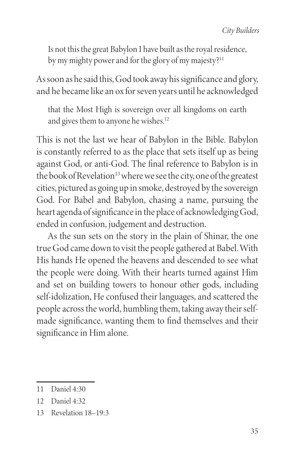Is not this the great Babylon I have built as the royal residence, by my mighty power and for the glory of my majesty?<sup>11</sup>

As soon as he said this, God took away his significance and glory, and he became like an ox for seven years until he acknowledged

that the Most High is sovereign over all kingdoms on earth and gives them to anyone he wishes.<sup>12</sup>

This is not the last we hear of Babylon in the Bible. Babylon is constantly referred to as the place that sets itself up as being against God, or anti-God. The final reference to Babylon is in the book of Revelation<sup>13</sup> where we see the city, one of the greatest cities, pictured as going up in smoke, destroyed by the sovereign God. For Babel and Babylon, chasing a name, pursuing the heart agenda of significance in the place of acknowledging God, ended in confusion, judgement and destruction.

As the sun sets on the story in the plain of Shinar, the one true God came down to visit the people gathered at Babel. With His hands He opened the heavens and descended to see what the people were doing. With their hearts turned against Him and set on building towers to honour other gods, including self-idolization, He confused their languages, and scattered the people across the world, humbling them, taking away their selfmade significance, wanting them to find themselves and their significance in Him alone.

13 Revelation 18–19:3

<sup>11</sup> Daniel 4:30

<sup>12</sup> Daniel 4:32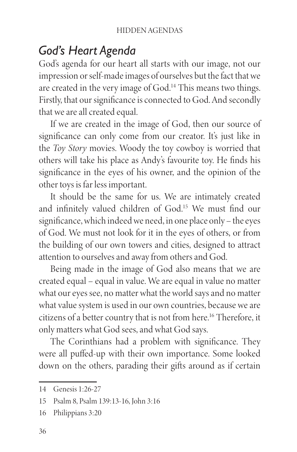### *God's Heart Agenda*

God's agenda for our heart all starts with our image, not our impression or self-made images of ourselves but the fact that we are created in the very image of God.<sup>14</sup> This means two things. Firstly, that our significance is connected to God. And secondly that we are all created equal.

If we are created in the image of God, then our source of significance can only come from our creator. It's just like in the *Toy Story* movies. Woody the toy cowboy is worried that others will take his place as Andy's favourite toy. He finds his significance in the eyes of his owner, and the opinion of the other toys is far less important.

It should be the same for us. We are intimately created and infinitely valued children of God.15 We must find our significance, which indeed we need, in one place only – the eyes of God. We must not look for it in the eyes of others, or from the building of our own towers and cities, designed to attract attention to ourselves and away from others and God.

Being made in the image of God also means that we are created equal – equal in value. We are equal in value no matter what our eyes see, no matter what the world says and no matter what value system is used in our own countries, because we are citizens of a better country that is not from here.16 Therefore, it only matters what God sees, and what God says.

The Corinthians had a problem with significance. They were all puffed-up with their own importance. Some looked down on the others, parading their gifts around as if certain

<sup>14</sup> Genesis 1:26-27

<sup>15</sup> Psalm 8, Psalm 139:13-16, John 3:16

<sup>16</sup> Philippians 3:20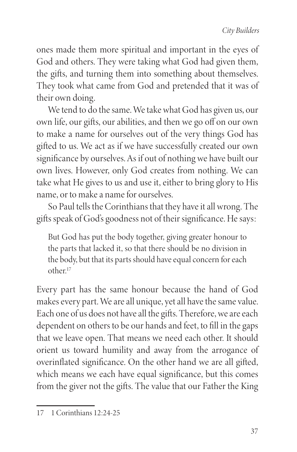ones made them more spiritual and important in the eyes of God and others. They were taking what God had given them, the gifts, and turning them into something about themselves. They took what came from God and pretended that it was of their own doing.

We tend to do the same. We take what God has given us, our own life, our gifts, our abilities, and then we go off on our own to make a name for ourselves out of the very things God has gifted to us. We act as if we have successfully created our own significance by ourselves. As if out of nothing we have built our own lives. However, only God creates from nothing. We can take what He gives to us and use it, either to bring glory to His name, or to make a name for ourselves.

So Paul tells the Corinthians that they have it all wrong. The gifts speak of God's goodness not of their significance. He says:

But God has put the body together, giving greater honour to the parts that lacked it, so that there should be no division in the body, but that its parts should have equal concern for each other.17

Every part has the same honour because the hand of God makes every part. We are all unique, yet all have the same value. Each one of us does not have all the gifts. Therefore, we are each dependent on others to be our hands and feet, to fill in the gaps that we leave open. That means we need each other. It should orient us toward humility and away from the arrogance of overinflated significance. On the other hand we are all gifted, which means we each have equal significance, but this comes from the giver not the gifts. The value that our Father the King

<sup>17</sup> 1 Corinthians 12:24-25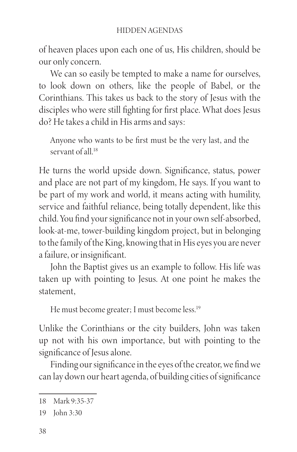of heaven places upon each one of us, His children, should be our only concern.

We can so easily be tempted to make a name for ourselves, to look down on others, like the people of Babel, or the Corinthians. This takes us back to the story of Jesus with the disciples who were still fighting for first place. What does Jesus do? He takes a child in His arms and says:

Anyone who wants to be first must be the very last, and the servant of all.<sup>18</sup>

He turns the world upside down. Significance, status, power and place are not part of my kingdom, He says. If you want to be part of my work and world, it means acting with humility, service and faithful reliance, being totally dependent, like this child. You find your significance not in your own self-absorbed, look-at-me, tower-building kingdom project, but in belonging to the family of the King, knowing that in His eyes you are never a failure, or insignificant.

John the Baptist gives us an example to follow. His life was taken up with pointing to Jesus. At one point he makes the statement,

He must become greater; I must become less.<sup>19</sup>

Unlike the Corinthians or the city builders, John was taken up not with his own importance, but with pointing to the significance of Jesus alone.

Finding our significance in the eyes of the creator, we find we can lay down our heart agenda, of building cities of significance

<sup>18</sup> Mark 9:35-37

<sup>19</sup> John 3:30